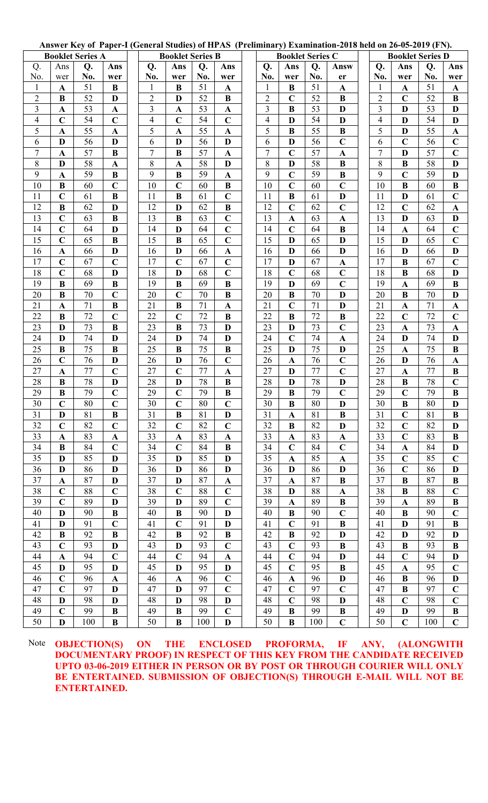Answer Key of Paper-I (General Studies) of HPAS (Preliminary) Examination-2018 held on 26-05-2019 (FN).

| <b>Booklet Series A</b> |              |     |              | <b>Booklet Series B</b> |                |     |                |  |                | <b>Booklet Series C</b> |     |                |                          | <b>Booklet Series D</b> |     |              |  |  |
|-------------------------|--------------|-----|--------------|-------------------------|----------------|-----|----------------|--|----------------|-------------------------|-----|----------------|--------------------------|-------------------------|-----|--------------|--|--|
| Q.                      | Ans          | Q.  | Ans          | Q.                      | Ans            | Q.  | Ans            |  | Q.             | Ans                     | Q.  | Answ           | Q.                       | Ans                     | Q.  | Ans          |  |  |
| No.                     | wer          | No. | wer          | No.                     | wer            | No. | wer            |  | No.            | wer                     | No. | er             | No.                      | wer                     | No. | wer          |  |  |
| $\mathbf{1}$            | $\mathbf A$  | 51  | B            | $\mathbf{1}$            | B              | 51  | $\mathbf{A}$   |  | $\mathbf{1}$   | $\bf{B}$                | 51  | $\mathbf{A}$   | $\mathbf{1}$             | $\mathbf{A}$            | 51  | $\mathbf{A}$ |  |  |
| $\overline{c}$          | B            | 52  | D            | $\sqrt{2}$              | D              | 52  | B              |  | $\overline{2}$ | $\mathbf C$             | 52  | $\bf{B}$       | $\sqrt{2}$               | $\mathbf C$             | 52  | B            |  |  |
| 3                       | $\mathbf A$  | 53  | $\mathbf{A}$ | 3                       | $\mathbf{A}$   | 53  | $\mathbf{A}$   |  | 3              | B                       | 53  | D              | 3                        | D                       | 53  | D            |  |  |
| 4                       | $\mathbf C$  | 54  | $\mathbf C$  | $\overline{4}$          | $\mathbf C$    | 54  | $\mathbf C$    |  | 4              | D                       | 54  | D              | $\overline{\mathcal{A}}$ | D                       | 54  | D            |  |  |
| 5                       | $\mathbf{A}$ | 55  | $\mathbf{A}$ | $\overline{5}$          | $\mathbf{A}$   | 55  | $\mathbf{A}$   |  | 5              | B                       | 55  | $\overline{B}$ | 5                        | $\mathbf{D}$            | 55  | $\mathbf{A}$ |  |  |
| 6                       | D            | 56  | D            | 6                       | D              | 56  | D              |  | 6              | D                       | 56  | $\mathbf C$    | 6                        | $\mathbf C$             | 56  | $\mathbf C$  |  |  |
| 7                       | $\mathbf{A}$ | 57  | $\bf{B}$     | $\tau$                  | B              | 57  | $\mathbf{A}$   |  | 7              | $\mathbf C$             | 57  | $\mathbf A$    | $\overline{7}$           | D                       | 57  | $\mathbf C$  |  |  |
| 8                       | D            | 58  | $\mathbf{A}$ | 8                       | $\mathbf{A}$   | 58  | D              |  | 8              | D                       | 58  | $\bf{B}$       | 8                        | B                       | 58  | D            |  |  |
| 9                       | $\mathbf{A}$ | 59  | $\bf{B}$     | 9                       | $\bf{B}$       | 59  | $\mathbf{A}$   |  | 9              | $\mathbf C$             | 59  | $\bf{B}$       | 9                        | $\mathbf C$             | 59  | D            |  |  |
| 10                      | $\bf{B}$     | 60  | $\mathbf C$  | 10                      | $\mathbf C$    | 60  | B              |  | 10             | $\mathbf C$             | 60  | $\mathbf C$    | 10                       | $\bf{B}$                | 60  | $\bf{B}$     |  |  |
| 11                      | $\mathbf C$  | 61  | $\bf{B}$     | 11                      | $\bf{B}$       | 61  | $\overline{C}$ |  | 11             | $\bf{B}$                | 61  | $\mathbf{D}$   | 11                       | D                       | 61  | $\mathbf C$  |  |  |
| 12                      | B            | 62  | $\mathbf{D}$ | 12                      | D              | 62  | $\bf{B}$       |  | 12             | $\overline{C}$          | 62  | $\overline{C}$ | 12                       | $\mathbf C$             | 62  | $\mathbf{A}$ |  |  |
| 13                      | $\mathbf C$  | 63  | B            | 13                      | B              | 63  | $\mathbf C$    |  | 13             | $\mathbf{A}$            | 63  | $\mathbf{A}$   | 13                       | D                       | 63  | D            |  |  |
| 14                      | $\mathbf C$  | 64  | D            | 14                      | D              | 64  | $\overline{C}$ |  | 14             | $\mathbf C$             | 64  | $\bf{B}$       | 14                       | $\mathbf{A}$            | 64  | $\mathbf C$  |  |  |
| 15                      | $\mathbf C$  | 65  | $\bf{B}$     | 15                      | B              | 65  | $\mathbf C$    |  | 15             | D                       | 65  | D              | 15                       | D                       | 65  | $\mathbf C$  |  |  |
| 16                      | $\mathbf{A}$ | 66  | D            | 16                      | D              | 66  | $\mathbf{A}$   |  | 16             | D                       | 66  | D              | 16                       | D                       | 66  | D            |  |  |
| 17                      | $\mathbf C$  | 67  | $\mathbf C$  | 17                      | $\mathbf C$    | 67  | $\mathbf C$    |  | 17             | D                       | 67  | $\mathbf{A}$   | 17                       | B                       | 67  | $\mathbf C$  |  |  |
| 18                      | $\mathbf C$  | 68  | $\mathbf{D}$ | 18                      | D              | 68  | $\mathbf C$    |  | 18             | $\mathbf C$             | 68  | $\mathbf C$    | 18                       | $\bf{B}$                | 68  | D            |  |  |
| 19                      | B            | 69  | $\bf{B}$     | 19                      | $\bf{B}$       | 69  | $\bf{B}$       |  | 19             | D                       | 69  | $\overline{C}$ | 19                       | $\mathbf{A}$            | 69  | $\bf{B}$     |  |  |
| 20                      | B            | 70  | $\mathbf C$  | 20                      | $\mathbf C$    | 70  | $\bf{B}$       |  | 20             | $\bf{B}$                | 70  | D              | 20                       | B                       | 70  | D            |  |  |
| 21                      | $\mathbf{A}$ | 71  | $\bf{B}$     | 21                      | $\bf{B}$       | 71  | $\mathbf{A}$   |  | 21             | $\mathbf C$             | 71  | D              | 21                       | $\mathbf{A}$            | 71  | $\mathbf{A}$ |  |  |
| 22                      | B            | 72  | $\mathbf C$  | 22                      | $\mathbf C$    | 72  | B              |  | 22             | B                       | 72  | B              | 22                       | $\mathbf C$             | 72  | $\mathbf C$  |  |  |
| 23                      | D            | 73  | $\bf{B}$     | 23                      | $\bf{B}$       | 73  | D              |  | 23             | D                       | 73  | $\overline{C}$ | 23                       | $\mathbf{A}$            | 73  | $\mathbf{A}$ |  |  |
| 24                      | D            | 74  | D            | 24                      | D              | 74  | D              |  | 24             | $\mathbf C$             | 74  | $\mathbf{A}$   | 24                       | D                       | 74  | D            |  |  |
| 25                      | $\bf{B}$     | 75  | $\bf{B}$     | 25                      | $\bf{B}$       | 75  | $\bf{B}$       |  | 25             | D                       | 75  | D              | 25                       | $\mathbf A$             | 75  | $\bf{B}$     |  |  |
| 26                      | $\mathbf C$  | 76  | D            | 26                      | D              | 76  | $\mathbf C$    |  | 26             | $\mathbf A$             | 76  | $\mathbf C$    | 26                       | D                       | 76  | $\mathbf{A}$ |  |  |
| 27                      | $\mathbf A$  | 77  | $\mathbf C$  | 27                      | $\mathbf C$    | 77  | $\mathbf{A}$   |  | 27             | D                       | 77  | $\mathbf C$    | 27                       | $\mathbf{A}$            | 77  | B            |  |  |
| 28                      | $\bf{B}$     | 78  | D            | 28                      | $\mathbf D$    | 78  | B              |  | 28             | D                       | 78  | D              | 28                       | B                       | 78  | $\mathbf C$  |  |  |
| 29                      | $\bf{B}$     | 79  | $\mathbf C$  | 29                      | $\mathbf C$    | 79  | $\bf{B}$       |  | 29             | B                       | 79  | $\overline{C}$ | 29                       | $\mathbf C$             | 79  | $\bf{B}$     |  |  |
| 30                      | $\mathbf C$  | 80  | $\mathbf C$  | 30                      | $\overline{C}$ | 80  | $\overline{C}$ |  | 30             | $\bf{B}$                | 80  | D              | 30                       | $\bf{B}$                | 80  | $\mathbf{D}$ |  |  |
| 31                      | D            | 81  | B            | 31                      | B              | 81  | D              |  | 31             | $\mathbf{A}$            | 81  | B              | 31                       | $\mathbf C$             | 81  | B            |  |  |
| 32                      | $\mathbf C$  | 82  | $\mathbf C$  | 32                      | $\mathbf C$    | 82  | $\mathbf C$    |  | 32             | $\bf{B}$                | 82  | D              | 32                       | $\mathbf C$             | 82  | D            |  |  |
| 33                      | $\mathbf A$  | 83  | $\mathbf{A}$ | 33                      | $\mathbf A$    | 83  | $\mathbf{A}$   |  | 33             | $\mathbf A$             | 83  | $\mathbf A$    | 33                       | $\mathbf C$             | 83  | B            |  |  |
| 34                      | B            | 84  | $\mathbf C$  | 34                      | $\mathbf C$    | 84  | B              |  | 34             | $\mathbf C$             | 84  | $\mathbf C$    | 34                       | $\mathbf A$             | 84  | D            |  |  |
| 35                      | D            | 85  | D            | 35                      | D              | 85  | D              |  | 35             | $\mathbf{A}$            | 85  | $\mathbf{A}$   | 35                       | $\mathbf C$             | 85  | $\mathbf C$  |  |  |
| 36                      | D            | 86  | D            | 36                      | D              | 86  | D              |  | 36             | D                       | 86  | D              | 36                       | $\mathbf C$             | 86  | D            |  |  |
| 37                      | $\mathbf A$  | 87  | D            | 37                      | D              | 87  | ${\bf A}$      |  | 37             | $\mathbf{A}$            | 87  | $\, {\bf B}$   | 37                       | B                       | 87  | $\bf{B}$     |  |  |
| 38                      | $\mathbf C$  | 88  | $\mathbf C$  | 38                      | $\mathbf C$    | 88  | $\mathbf C$    |  | 38             | D                       | 88  | $\mathbf A$    | 38                       | $\bf{B}$                | 88  | $\mathbf C$  |  |  |
| 39                      | $\mathbf C$  | 89  | D            | 39                      | D              | 89  | $\mathbf C$    |  | 39             | $\mathbf{A}$            | 89  | B              | 39                       | $\mathbf{A}$            | 89  | B            |  |  |
| 40                      | D            | 90  | B            | 40                      | B              | 90  | D              |  | 40             | B                       | 90  | $\mathbf C$    | 40                       | B                       | 90  | $\mathbf C$  |  |  |
| 41                      | D            | 91  | $\mathbf C$  | 41                      | $\mathbf C$    | 91  | D              |  | 41             | $\mathbf C$             | 91  | B              | 41                       | D                       | 91  | B            |  |  |
| 42                      | $\bf{B}$     | 92  | $\bf{B}$     | 42                      | $\bf{B}$       | 92  | $\bf{B}$       |  | 42             | $\bf{B}$                | 92  | D              | 42                       | D                       | 92  | D            |  |  |
| 43                      | $\mathbf C$  | 93  | $\mathbf{D}$ | 43                      | D              | 93  | $\mathbf C$    |  | 43             | $\mathbf C$             | 93  | $\bf{B}$       | 43                       | B                       | 93  | $\bf{B}$     |  |  |
| 44                      | $\mathbf A$  | 94  | $\mathbf C$  | 44                      | $\mathbf C$    | 94  | ${\bf A}$      |  | 44             | $\mathbf C$             | 94  | D              | 44                       | $\mathbf C$             | 94  | D            |  |  |
| 45                      | D            | 95  | D            | 45                      | D              | 95  | D              |  | 45             | $\mathbf C$             | 95  | B              | 45                       | $\mathbf{A}$            | 95  | $\mathbf C$  |  |  |
| 46                      | $\mathbf C$  | 96  | $\mathbf{A}$ | 46                      | $\mathbf{A}$   | 96  | $\mathbf C$    |  | 46             | $\mathbf{A}$            | 96  | D              | 46                       | $\bf{B}$                | 96  | $\mathbf{D}$ |  |  |
| 47                      | $\mathbf C$  | 97  | D            | 47                      | D              | 97  | $\mathbf C$    |  | 47             | $\mathbf C$             | 97  | $\mathbf C$    | 47                       | B                       | 97  | $\mathbf C$  |  |  |
| 48                      | D            | 98  | D            | 48                      | D              | 98  | D              |  | 48             | $\mathbf C$             | 98  | D              | 48                       | $\mathbf C$             | 98  | $\mathbf C$  |  |  |
| 49                      | $\mathbf C$  | 99  | B            | 49                      | $\bf{B}$       | 99  | $\overline{C}$ |  | 49             | $\bf{B}$                | 99  | B              | 49                       | D                       | 99  | $\bf{B}$     |  |  |
| 50                      | D            | 100 | $\bf{B}$     | 50                      | B              | 100 | $\mathbf{D}$   |  | 50             | B                       | 100 | $\mathbf C$    | 50                       | $\mathbf C$             | 100 | $\mathbf C$  |  |  |

Note **OBJECTION(S)** ON THE ENCLOSED PROFORMA, IF ANY, (ALONGWITH DOCUMENTARY PROOF) IN RESPECT OF THIS KEY FROM THE CANDIDATE RECEIVED UPTO 03-06-2019 EITHER IN PERSON OR BY POST OR THROUGH COURIER WILL ONLY BE ENTERTAINED. SUBMISSION OF OBJECTION(S) THROUGH E-MAIL WILL NOT BE **ENTERTAINED.**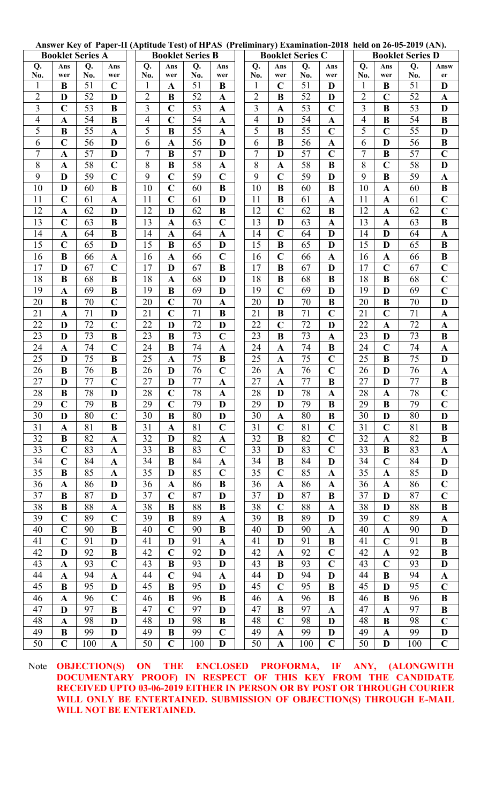Answer Key of Paper-II (Aptitude Test) of HPAS (Preliminary) Examination-2018 held on 26-05-2019 (AN).

| <b>Booklet Series A</b> |                          |          |                  | <b>Booklet Series B</b>          |                         |          |                            |  | <b>Booklet Series C</b>          |                            |          |                  | <b>Booklet Series D</b> |                                  |               |                 |                         |
|-------------------------|--------------------------|----------|------------------|----------------------------------|-------------------------|----------|----------------------------|--|----------------------------------|----------------------------|----------|------------------|-------------------------|----------------------------------|---------------|-----------------|-------------------------|
| Q.                      | Ans                      | Q.       | Ans              | Q.                               | Ans                     | Q.       | Ans                        |  | Q.                               | Ans                        | Q.       | Ans              |                         | Q.                               | Ans           | Q.              | Answ                    |
| No.                     | wer                      | No.      | wer              | No.                              | wer                     | No.      | wer                        |  | No.                              | wer                        | No.      | wer              |                         | No.                              | wer           | No.             | er                      |
|                         | B                        | 51       | $\mathbf C$      | 1                                | $\mathbf A$             | 51       | B                          |  | $\mathbf{1}$                     | $\mathbf C$                | 51       | D                |                         | $\mathbf{1}$                     | B             | 51              | D                       |
| $\overline{2}$          | D<br>$\overline{C}$      | 52<br>53 | D<br>$\bf{B}$    | $\overline{2}$<br>$\overline{3}$ | $\bf{B}$<br>$\mathbf C$ | 52<br>53 | $\mathbf A$                |  | $\overline{2}$<br>$\overline{3}$ | $\bf{B}$                   | 52       | D<br>$\mathbf C$ |                         | $\overline{2}$<br>$\overline{3}$ | $\mathbf C$   | 52<br>53        | $\mathbf A$<br>D        |
| 3<br>$\overline{4}$     | $\mathbf{A}$             | 54       | $\bf{B}$         | 4                                | $\overline{C}$          | 54       | $\mathbf A$<br>$\mathbf A$ |  | $\overline{\mathcal{L}}$         | $\mathbf{A}$<br>D          | 53<br>54 | $\mathbf A$      |                         | $\overline{4}$                   | $\bf{B}$<br>B | 54              | $\bf{B}$                |
| 5                       | B                        | 55       | $\mathbf A$      | 5                                | B                       | 55       | $\mathbf A$                |  | 5                                | B                          | 55       | $\mathbf C$      |                         | 5                                | $\mathbf C$   | 55              | D                       |
| 6                       | $\overline{C}$           | 56       | D                | 6                                | $\overline{\mathbf{A}}$ | 56       | D                          |  | 6                                | B                          | 56       | $\mathbf A$      |                         | 6                                | D             | 56              | $\bf{B}$                |
| $\overline{7}$          | $\mathbf A$              | 57       | D                | $\overline{7}$                   | $\bf{B}$                | 57       | D                          |  | $\overline{7}$                   | D                          | 57       | $\mathbf C$      |                         | $\overline{7}$                   | B             | $\overline{57}$ | $\overline{C}$          |
| 8                       | $\mathbf A$              | 58       | $\mathbf C$      | 8                                | B                       | 58       | $\mathbf A$                |  | 8                                | $\mathbf A$                | 58       | $\bf{B}$         |                         | 8                                | $\mathbf C$   | 58              | D                       |
| 9                       | D                        | 59       | $\overline{C}$   | 9                                | $\overline{C}$          | 59       | $\mathbf C$                |  | 9                                | $\overline{C}$             | 59       | D                |                         | 9                                | B             | 59              | $\mathbf A$             |
| 10                      | D                        | 60       | B                | 10                               | $\mathbf C$             | 60       | B                          |  | 10                               | B                          | 60       | B                |                         | 10                               | A             | 60              | $\bf{B}$                |
| 11                      | $\overline{C}$           | 61       | $\mathbf{A}$     | 11                               | $\overline{C}$          | 61       | D                          |  | 11                               | $\bf{B}$                   | 61       | $\mathbf A$      |                         | 11                               | $\mathbf A$   | 61              | $\overline{C}$          |
| 12                      | $\mathbf A$              | 62       | D                | 12                               | D                       | 62       | B                          |  | 12                               | $\mathbf C$                | 62       | $\bf{B}$         |                         | 12                               | A             | 62              | $\mathbf C$             |
| 13                      | $\mathbf C$              | 63       | B                | 13                               | $\mathbf A$             | 63       | $\mathbf C$                |  | 13                               | D                          | 63       | $\mathbf A$      |                         | 13                               | $\mathbf A$   | 63              | $\bf{B}$                |
| 14                      | $\mathbf{A}$             | 64       | $\bf{B}$         | 14                               | $\overline{\mathbf{A}}$ | 64       | $\mathbf A$                |  | 14                               | $\mathbf C$                | 64       | D                |                         | 14                               | D             | 64              | $\mathbf A$             |
| 15                      | $\overline{C}$           | 65       | D                | 15                               | $\bf{B}$                | 65       | D                          |  | 15                               | $\bf{B}$                   | 65       | D                |                         | 15                               | D             | 65              | $\, {\bf B}$            |
| 16                      | B                        | 66       | $\mathbf{A}$     | 16                               | $\mathbf{A}$            | 66       | $\mathbf C$                |  | 16                               | $\mathbf C$                | 66       | $\mathbf A$      |                         | 16                               | $\mathbf A$   | 66              | $\bf{B}$                |
| 17                      | D                        | 67       | $\overline{C}$   | 17                               | D                       | 67       | B                          |  | 17                               | $\bf{B}$                   | 67       | D                |                         | 17                               | $\mathbf C$   | 67              | $\mathbf C$             |
| 18                      | B                        | 68       | $\bf{B}$         | 18                               | $\mathbf A$             | 68       | D                          |  | 18                               | $\bf{B}$                   | 68       | $\bf{B}$         |                         | 18                               | $\bf{B}$      | 68              | $\mathbf C$             |
| 19                      | $\mathbf{A}$             | 69       | $\bf{B}$         | 19                               | $\bf{B}$                | 69       | D                          |  | 19                               | $\overline{C}$             | 69       | D                |                         | 19                               | D             | 69              | $\overline{C}$          |
| 20                      | B                        | 70       | $\overline{C}$   | 20                               | $\overline{C}$          | 70       | A                          |  | 20                               | D                          | 70       | $\bf{B}$         |                         | 20                               | B             | 70              | D                       |
| 21                      | $\mathbf A$              | 71       | D                | 21                               | $\mathbf C$             | 71       | $\bf{B}$                   |  | 21                               | B                          | 71       | $\mathbf C$      |                         | 21                               | $\mathbf C$   | 71              | $\mathbf A$             |
| 22                      | D                        | 72       | $\mathbf C$      | 22                               | D                       | 72       | D                          |  | 22                               | $\mathbf C$                | 72       | D                |                         | 22                               | $\mathbf A$   | 72              | $\mathbf A$             |
| 23                      | D                        | 73       | $\bf{B}$         | 23                               | B                       | 73       | $\mathbf C$                |  | 23                               | B                          | 73       | $\mathbf A$      |                         | 23                               | D             | 73              | $\bf{B}$                |
| 24                      | $\mathbf{A}$             | 74       | $\mathbf C$      | 24                               | B                       | 74       | $\mathbf A$                |  | 24                               | $\mathbf A$                | 74       | $\bf{B}$         |                         | 24                               | $\mathbf C$   | 74              | $\mathbf A$             |
| 25                      | D                        | 75       | $\bf{B}$         | 25                               | $\mathbf A$             | 75       | B                          |  | 25                               | A                          | 75       | $\mathbf C$      |                         | 25                               | B             | 75              | D                       |
| 26<br>27                | B<br>D                   | 76<br>77 | B<br>$\mathbf C$ | 26<br>27                         | D<br>D                  | 76<br>77 | $\mathbf C$<br>$\mathbf A$ |  | 26<br>27                         | $\mathbf A$<br>$\mathbf A$ | 76<br>77 | $\mathbf C$<br>B |                         | 26<br>27                         | D<br>D        | 76<br>77        | $\mathbf A$<br>$\bf{B}$ |
| 28                      | $\bf{B}$                 | 78       | D                | 28                               | $\mathbf C$             | $78\,$   | $\mathbf A$                |  | 28                               | D                          | 78       | $\mathbf A$      |                         | 28                               | A             | 78              | $\mathbf C$             |
| 29                      | $\overline{C}$           | 79       | $\bf{B}$         | 29                               | $\mathbf C$             | 79       | $\mathbf D$                |  | 29                               | $\mathbf{D}$               | 79       | $\, {\bf B}$     |                         | 29                               | $\bf{B}$      | 79              | $\overline{C}$          |
| 30                      | D                        | 80       | $\mathbf C$      | 30                               | $\bf{B}$                | 80       | D                          |  | 30                               | A                          | 80       | $\bf{B}$         |                         | 30                               | D             | 80              | D                       |
| 31                      | $\mathbf A$              | 81       | B                | 31                               | $\mathbf A$             | 81       | $\mathbf C$                |  | 31                               | $\mathbf C$                | 81       | $\mathbf C$      |                         | 31                               | $\mathbf C$   | 81              | B                       |
| 32                      | $\bf{B}$                 | 82       | $\mathbf{A}$     | 32                               | D                       | 82       | $\mathbf{A}$               |  | 32                               | $\bf{B}$                   | 82       | $\mathbf C$      |                         | 32                               | $\mathbf A$   | 82              | $\bf{B}$                |
| 33                      | $\mathbf C$              | 83       | $\mathbf A$      | 33                               | B                       | 83       | $\mathbf C$                |  | 33                               | D                          | 83       | $\mathbf C$      |                         | 33                               | B             | 83              | $\mathbf A$             |
| 34                      | $\mathbf C$              | 84       | A                | 34                               | B                       | 84       | $\mathbf{A}$               |  | 34                               | B                          | 84       | D                |                         | 34                               | $\mathbf C$   | 84              | D                       |
| 35                      | $\bf{B}$                 | 85       | $\mathbf A$      | 35                               | D                       | 85       | $\mathbf C$                |  | 35                               | $\mathbf C$                | 85       | $\mathbf A$      |                         | 35                               | $\mathbf A$   | 85              | D                       |
| 36                      | $\mathbf A$              | 86       | D                | 36                               | $\mathbf A$             | 86       | B                          |  | 36                               | A                          | 86       | $\mathbf{A}$     |                         | 36                               | A             | 86              | $\mathbf C$             |
| 37                      | $\bf{B}$                 | 87       | D                | 37                               | $\mathbf C$             | 87       | D                          |  | 37                               | D                          | 87       | $\bf{B}$         |                         | 37                               | D             | 87              | $\mathbf C$             |
| 38                      | B                        | 88       | $\mathbf A$      | 38                               | B                       | 88       | B                          |  | 38                               | $\mathbf C$                | 88       | $\mathbf A$      |                         | 38                               | D             | 88              | B                       |
| 39                      | $\mathbf C$              | 89       | $\mathbf C$      | 39                               | B                       | 89       | $\mathbf{A}$               |  | 39                               | B                          | 89       | D                |                         | 39                               | $\mathbf C$   | 89              | $\mathbf A$             |
| 40                      | $\mathbf C$              | 90       | B                | 40                               | $\mathbf C$             | 90       | B                          |  | 40                               | D                          | 90       | $\mathbf{A}$     |                         | 40                               | $\mathbf{A}$  | 90              | D                       |
| 41                      | $\mathbf C$              | 91       | D                | 41                               | D                       | 91       | $\mathbf{A}$               |  | 41                               | D                          | 91       | $\bf{B}$         |                         | 41                               | $\mathbf C$   | 91              | B                       |
| 42                      | D                        | 92       | B                | 42                               | $\mathbf C$             | 92       | D                          |  | 42                               | $\mathbf A$                | 92       | $\mathbf C$      |                         | 42                               | $\mathbf A$   | 92              | $\bf{B}$                |
| 43                      | $\mathbf A$              | 93       | $\mathbf C$      | 43                               | $\bf{B}$                | 93       | D                          |  | 43                               | $\bf{B}$                   | 93       | $\mathbf C$      |                         | 43                               | $\mathbf C$   | 93              | D                       |
| 44                      | $\mathbf A$              | 94       | $\mathbf A$      | 44                               | $\mathbf C$             | 94       | $\mathbf{A}$               |  | 44                               | D                          | 94       | D                |                         | 44                               | B             | 94              | $\mathbf A$             |
| 45                      | $\bf{B}$                 | 95       | D                | 45                               | $\bf{B}$                | 95       | D                          |  | 45                               | $\mathbf C$                | 95       | $\bf{B}$         |                         | 45                               | D             | 95              | $\mathbf C$             |
| 46                      | A                        | 96       | $\overline{C}$   | 46                               | B                       | 96       | B                          |  | 46                               | $\mathbf A$                | 96       | $\bf{B}$         |                         | 46                               | B             | 96              | $\bf{B}$                |
| 47                      | D                        | 97       | B                | 47                               | $\mathbf C$             | 97       | D                          |  | 47                               | B                          | 97       | $\mathbf A$      |                         | 47                               | $\mathbf A$   | 97              | B                       |
| 48<br>49                | $\mathbf{A}$<br>$\bf{B}$ | 98<br>99 | D                | 48<br>49                         | D                       | 98<br>99 | B                          |  | 48                               | $\mathbf C$                | 98<br>99 | D                |                         | 48<br>49                         | $\bf{B}$      | 98<br>99        | $\mathbf C$             |
| 50                      | $\mathbf C$              | 100      | D<br>$\mathbf A$ | 50                               | B<br>$\mathbf C$        | 100      | $\mathbf C$<br>D           |  | 49<br>50                         | $\mathbf A$<br>$\mathbf A$ | 100      | D<br>$\mathbf C$ |                         | 50                               | A<br>D        | 100             | D<br>$\mathbf C$        |
|                         |                          |          |                  |                                  |                         |          |                            |  |                                  |                            |          |                  |                         |                                  |               |                 |                         |

Note OBJECTION(S) ON THE ENCLOSED PROFORMA, IF ANY, (ALONGWITH DOCUMENTARY PROOF) IN RESPECT OF THIS KEY FROM THE CANDIDATE **RECEIVED UPTO 03-06-2019 EITHER IN PERSON OR BY POST OR THROUGH COURIER** WILL ONLY BE ENTERTAINED. SUBMISSION OF OBJECTION(S) THROUGH E-MAIL WILL NOT BE ENTERTAINED.